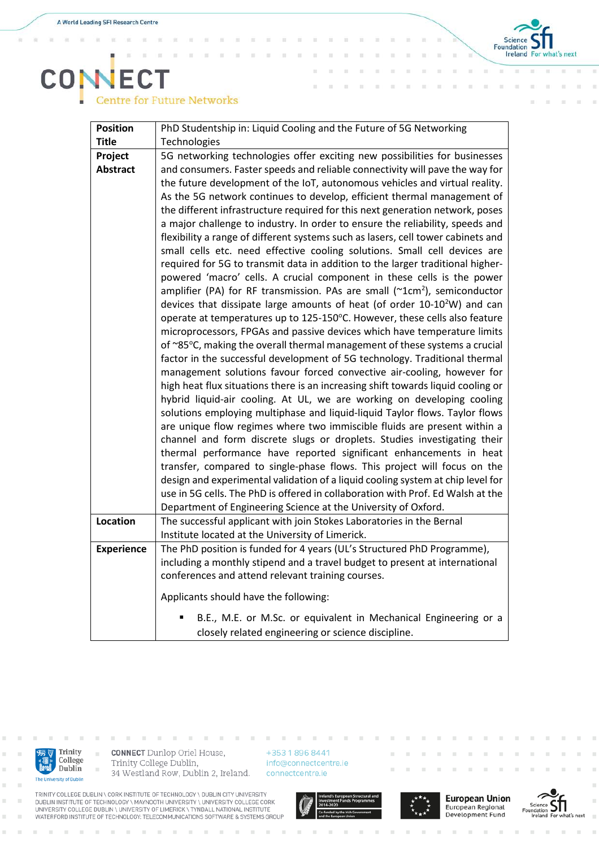$\alpha$ i. x

x



## **CONECT**<br>Centre for Future Networks

| <b>Position</b>   | PhD Studentship in: Liquid Cooling and the Future of 5G Networking                    |
|-------------------|---------------------------------------------------------------------------------------|
| <b>Title</b>      | Technologies                                                                          |
| Project           | 5G networking technologies offer exciting new possibilities for businesses            |
| <b>Abstract</b>   | and consumers. Faster speeds and reliable connectivity will pave the way for          |
|                   | the future development of the IoT, autonomous vehicles and virtual reality.           |
|                   | As the 5G network continues to develop, efficient thermal management of               |
|                   | the different infrastructure required for this next generation network, poses         |
|                   | a major challenge to industry. In order to ensure the reliability, speeds and         |
|                   | flexibility a range of different systems such as lasers, cell tower cabinets and      |
|                   | small cells etc. need effective cooling solutions. Small cell devices are             |
|                   | required for 5G to transmit data in addition to the larger traditional higher-        |
|                   | powered 'macro' cells. A crucial component in these cells is the power                |
|                   | amplifier (PA) for RF transmission. PAs are small (~1cm <sup>2</sup> ), semiconductor |
|                   | devices that dissipate large amounts of heat (of order 10-10 <sup>2</sup> W) and can  |
|                   | operate at temperatures up to 125-150°C. However, these cells also feature            |
|                   | microprocessors, FPGAs and passive devices which have temperature limits              |
|                   | of ~85°C, making the overall thermal management of these systems a crucial            |
|                   | factor in the successful development of 5G technology. Traditional thermal            |
|                   | management solutions favour forced convective air-cooling, however for                |
|                   | high heat flux situations there is an increasing shift towards liquid cooling or      |
|                   | hybrid liquid-air cooling. At UL, we are working on developing cooling                |
|                   | solutions employing multiphase and liquid-liquid Taylor flows. Taylor flows           |
|                   | are unique flow regimes where two immiscible fluids are present within a              |
|                   | channel and form discrete slugs or droplets. Studies investigating their              |
|                   | thermal performance have reported significant enhancements in heat                    |
|                   | transfer, compared to single-phase flows. This project will focus on the              |
|                   | design and experimental validation of a liquid cooling system at chip level for       |
|                   | use in 5G cells. The PhD is offered in collaboration with Prof. Ed Walsh at the       |
|                   | Department of Engineering Science at the University of Oxford.                        |
| Location          | The successful applicant with join Stokes Laboratories in the Bernal                  |
|                   | Institute located at the University of Limerick.                                      |
| <b>Experience</b> | The PhD position is funded for 4 years (UL's Structured PhD Programme),               |
|                   | including a monthly stipend and a travel budget to present at international           |
|                   | conferences and attend relevant training courses.                                     |
|                   | Applicants should have the following:                                                 |
|                   | B.E., M.E. or M.Sc. or equivalent in Mechanical Engineering or a                      |
|                   | closely related engineering or science discipline.                                    |



i.

 $\bar{a}$ 

**CONNECT** Dunlop Oriel House, Trinity College Dublin, 34 Westland Row, Dublin 2, Ireland.

+353 1 896 8441 info@connectcentre.ie connectcentre.ie

TRINITY COLLEGE DUBLIN \ CORK INSTITUTE OF TECHNOLOGY \ DUBLIN CITY UNIVERSITY<br>DUBLIN INSTITUTE OF TECHNOLOGY \ MAYNOOTH UNIVERSITY \ UNIVERSITY COLLEGE CORK<br>UNIVERSITY COLLEGE DUBLIN \ UNIVERSITY OF LIMERICK \ TYNDALL NAT